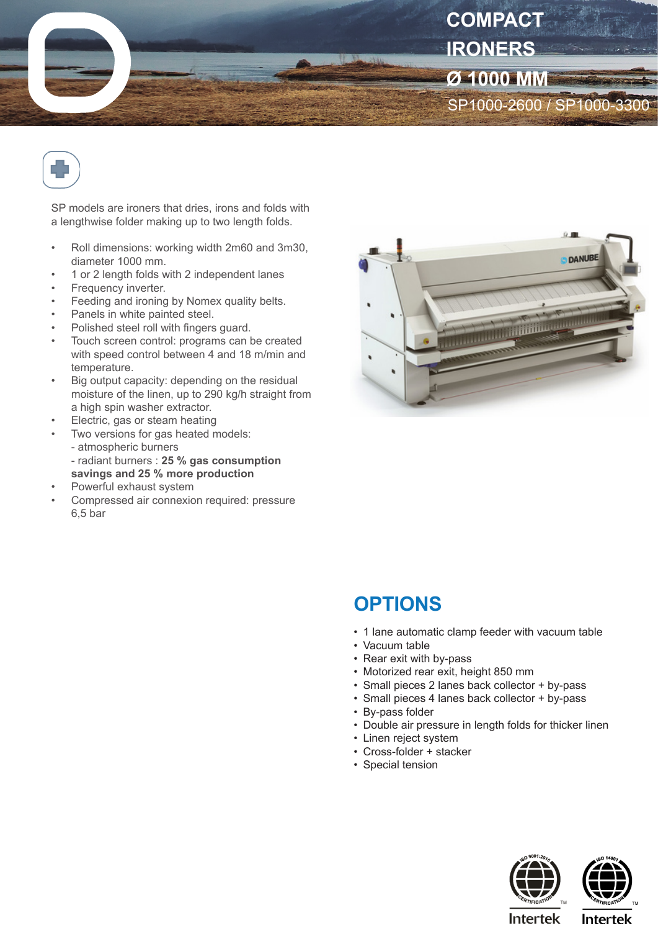



SP models are ironers that dries, irons and folds with a lengthwise folder making up to two length folds.

- Roll dimensions: working width 2m60 and 3m30, diameter 1000 mm.
- 1 or 2 length folds with 2 independent lanes
- Frequency inverter.
- Feeding and ironing by Nomex quality belts.
- Panels in white painted steel.
- Polished steel roll with fingers guard.
- Touch screen control: programs can be created with speed control between 4 and 18 m/min and temperature.
- Big output capacity: depending on the residual moisture of the linen, up to 290 kg/h straight from a high spin washer extractor.
- Electric, gas or steam heating
- Two versions for gas heated models:
	- atmospheric burners
- radiant burners : **25 % gas consumption savings and 25 % more production**
- Powerful exhaust system
- Compressed air connexion required: pressure 6,5 bar



## **OPTIONS**

- 1 lane automatic clamp feeder with vacuum table
- Vacuum table
- Rear exit with by-pass
- Motorized rear exit, height 850 mm
- Small pieces 2 lanes back collector + by-pass
- Small pieces 4 lanes back collector + by-pass
- By-pass folder
- Double air pressure in length folds for thicker linen
- Linen reject system
- Cross-folder + stacker
- Special tension





**Intertek** 

**Intertek**